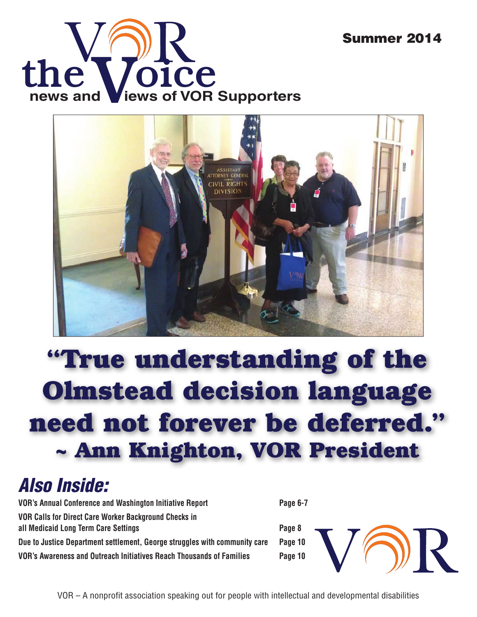



## **"True understanding of the Olmstead decision language need not forever be deferred." ~ Ann Knighton, VOR President**

### *Also Inside:*

**VOR's Annual Conference and Washington Initiative Report Page 6-7 VOR Calls for Direct Care Worker Background Checks in all Medicaid Long Term Care Settings Page 8 Due to Justice Department settlement, George struggles with community care Page 10 VOR's Awareness and Outreach Initiatives Reach Thousands of Families Page 10**

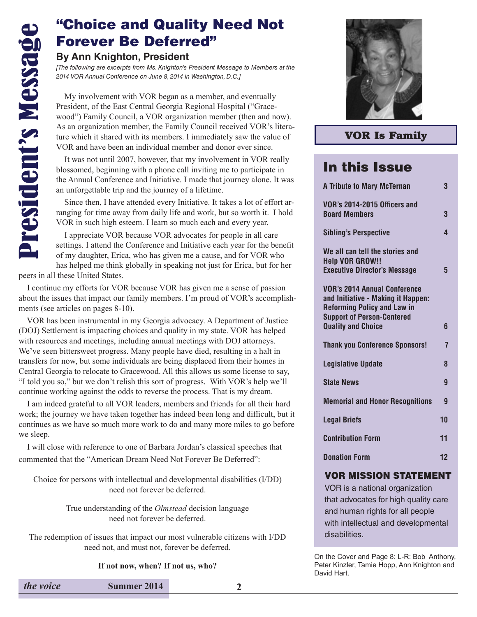#### "Choice and Quality Need Not Forever Be Deferred"

#### **By Ann Knighton, President**

*[The following are excerpts from Ms. Knighton's President Message to Members at the 2014 VOR Annual Conference on June 8, 2014 in Washington, D.C.]*

 My involvement with VOR began as a member, and eventually President, of the East Central Georgia Regional Hospital ("Gracewood") Family Council, a VOR organization member (then and now). As an organization member, the Family Council received VOR's literature which it shared with its members. I immediately saw the value of VOR and have been an individual member and donor ever since.

 It was not until 2007, however, that my involvement in VOR really blossomed, beginning with a phone call inviting me to participate in the Annual Conference and Initiative. I made that journey alone. It was an unforgettable trip and the journey of a lifetime.

 Since then, I have attended every Initiative. It takes a lot of effort arranging for time away from daily life and work, but so worth it. I hold VOR in such high esteem. I learn so much each and every year.

 I appreciate VOR because VOR advocates for people in all care settings. I attend the Conference and Initiative each year for the benefit of my daughter, Erica, who has given me a cause, and for VOR who has helped me think globally in speaking not just for Erica, but for her

peers in all these United States.

 I continue my efforts for VOR because VOR has given me a sense of passion about the issues that impact our family members. I'm proud of VOR's accomplishments (see articles on pages 8-10).

 VOR has been instrumental in my Georgia advocacy. A Department of Justice (DOJ) Settlement is impacting choices and quality in my state. VOR has helped with resources and meetings, including annual meetings with DOJ attorneys. We've seen bittersweet progress. Many people have died, resulting in a halt in transfers for now, but some individuals are being displaced from their homes in Central Georgia to relocate to Gracewood. All this allows us some license to say, "I told you so," but we don't relish this sort of progress. With VOR's help we'll continue working against the odds to reverse the process. That is my dream.

 I am indeed grateful to all VOR leaders, members and friends for all their hard work; the journey we have taken together has indeed been long and difficult, but it continues as we have so much more work to do and many more miles to go before we sleep.

 I will close with reference to one of Barbara Jordan's classical speeches that commented that the "American Dream Need Not Forever Be Deferred":

Choice for persons with intellectual and developmental disabilities (I/DD) need not forever be deferred.

> True understanding of the *Olmstead* decision language need not forever be deferred.

The redemption of issues that impact our most vulnerable citizens with I/DD need not, and must not, forever be deferred.

**If not now, when? If not us, who?**



#### **VOR Is Family**

#### In this Issue

| <b>A Tribute to Mary McTernan</b>                                                                                                                                                 | 3  |
|-----------------------------------------------------------------------------------------------------------------------------------------------------------------------------------|----|
| VOR's 2014-2015 Officers and<br><b>Board Members</b>                                                                                                                              | 3  |
| <b>Sibling's Perspective</b>                                                                                                                                                      | 4  |
| We all can tell the stories and<br><b>Help VOR GROW!!</b><br><b>Executive Director's Message</b>                                                                                  | 5  |
| <b>VOR's 2014 Annual Conference</b><br>and Initiative - Making it Happen:<br><b>Reforming Policy and Law in</b><br><b>Support of Person-Centered</b><br><b>Quality and Choice</b> | 6  |
| <b>Thank you Conference Sponsors!</b>                                                                                                                                             | 7  |
| <b>Legislative Update</b>                                                                                                                                                         | 8  |
| <b>State News</b>                                                                                                                                                                 | 9  |
| <b>Memorial and Honor Recognitions</b>                                                                                                                                            | 9  |
| <b>Legal Briefs</b>                                                                                                                                                               | 10 |
| <b>Contribution Form</b>                                                                                                                                                          | 11 |
| <b>Donation Form</b>                                                                                                                                                              | 12 |

#### VOR MISSION STATEMENT

VOR is a national organization that advocates for high quality care and human rights for all people with intellectual and developmental disabilities.

On the Cover and Page 8: L-R: Bob Anthony, Peter Kinzler, Tamie Hopp, Ann Knighton and David Hart.

| the voice | Summer 2014 |  |
|-----------|-------------|--|
|-----------|-------------|--|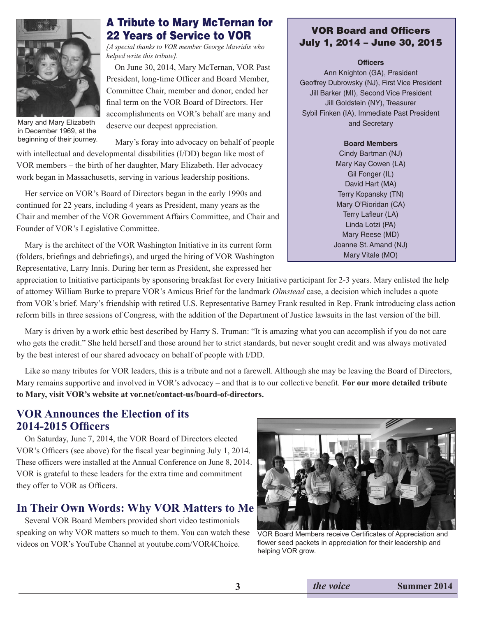

Mary and Mary Elizabeth in December 1969, at the beginning of their journey.

#### A Tribute to Mary McTernan for 22 Years of Service to VOR

*[A special thanks to VOR member George Mavridis who helped write this tribute].*

 On June 30, 2014, Mary McTernan, VOR Past President, long-time Officer and Board Member, Committee Chair, member and donor, ended her final term on the VOR Board of Directors. Her accomplishments on VOR's behalf are many and deserve our deepest appreciation.

Mary's foray into advocacy on behalf of people with intellectual and developmental disabilities (I/DD) began like most of VOR members – the birth of her daughter, Mary Elizabeth. Her advocacy work began in Massachusetts, serving in various leadership positions.

 Her service on VOR's Board of Directors began in the early 1990s and continued for 22 years, including 4 years as President, many years as the Chair and member of the VOR Government Affairs Committee, and Chair and Founder of VOR's Legislative Committee.

 Mary is the architect of the VOR Washington Initiative in its current form (folders, briefings and debriefings), and urged the hiring of VOR Washington Representative, Larry Innis. During her term as President, she expressed her

#### VOR Board and Officers July 1, 2014 – June 30, 2015

**Officers**

Ann Knighton (GA), President Geoffrey Dubrowsky (NJ), First Vice President Jill Barker (MI), Second Vice President Jill Goldstein (NY), Treasurer Sybil Finken (IA), Immediate Past President and Secretary

#### **Board Members**

Cindy Bartman (NJ) Mary Kay Cowen (LA) Gil Fonger (IL) David Hart (MA) Terry Kopansky (TN) Mary O'Rioridan (CA) Terry Lafleur (LA) Linda Lotzi (PA) Mary Reese (MD) Joanne St. Amand (NJ) Mary Vitale (MO)

appreciation to Initiative participants by sponsoring breakfast for every Initiative participant for 2-3 years. Mary enlisted the help of attorney William Burke to prepare VOR's Amicus Brief for the landmark *Olmstead* case, a decision which includes a quote from VOR's brief. Mary's friendship with retired U.S. Representative Barney Frank resulted in Rep. Frank introducing class action reform bills in three sessions of Congress, with the addition of the Department of Justice lawsuits in the last version of the bill.

 Mary is driven by a work ethic best described by Harry S. Truman: "It is amazing what you can accomplish if you do not care who gets the credit." She held herself and those around her to strict standards, but never sought credit and was always motivated by the best interest of our shared advocacy on behalf of people with I/DD.

 Like so many tributes for VOR leaders, this is a tribute and not a farewell. Although she may be leaving the Board of Directors, Mary remains supportive and involved in VOR's advocacy – and that is to our collective benefit. **For our more detailed tribute to Mary, visit VOR's website at vor.net/contact-us/board-of-directors.** 

#### **VOR Announces the Election of its 2014-2015 Officers**

 On Saturday, June 7, 2014, the VOR Board of Directors elected VOR's Officers (see above) for the fiscal year beginning July 1, 2014. These officers were installed at the Annual Conference on June 8, 2014. VOR is grateful to these leaders for the extra time and commitment they offer to VOR as Officers.

#### **In Their Own Words: Why VOR Matters to Me**

 Several VOR Board Members provided short video testimonials speaking on why VOR matters so much to them. You can watch these videos on VOR's YouTube Channel at youtube.com/VOR4Choice.



VOR Board Members receive Certificates of Appreciation and flower seed packets in appreciation for their leadership and helping VOR grow.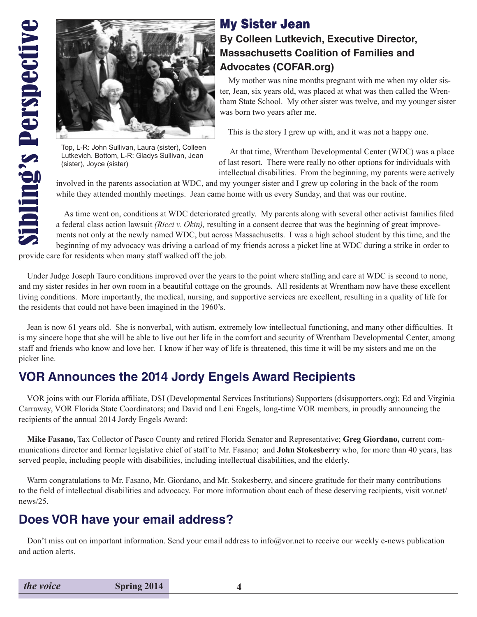

Lutkevich. Bottom, L-R: Gladys Sullivan, Jean (sister), Joyce (sister)

#### My Sister Jean **By Colleen Lutkevich, Executive Director, Massachusetts Coalition of Families and Advocates (COFAR.org)**

 My mother was nine months pregnant with me when my older sister, Jean, six years old, was placed at what was then called the Wrentham State School. My other sister was twelve, and my younger sister was born two years after me.

This is the story I grew up with, and it was not a happy one.

 At that time, Wrentham Developmental Center (WDC) was a place of last resort. There were really no other options for individuals with intellectual disabilities. From the beginning, my parents were actively

involved in the parents association at WDC, and my younger sister and I grew up coloring in the back of the room while they attended monthly meetings. Jean came home with us every Sunday, and that was our routine.

 As time went on, conditions at WDC deteriorated greatly. My parents along with several other activist families filed a federal class action lawsuit *(Ricci v. Okin),* resulting in a consent decree that was the beginning of great improvements not only at the newly named WDC, but across Massachusetts. I was a high school student by this time, and the beginning of my advocacy was driving a carload of my friends across a picket line at WDC during a strike in order to

provide care for residents when many staff walked off the job.

 Under Judge Joseph Tauro conditions improved over the years to the point where staffing and care at WDC is second to none, and my sister resides in her own room in a beautiful cottage on the grounds. All residents at Wrentham now have these excellent living conditions. More importantly, the medical, nursing, and supportive services are excellent, resulting in a quality of life for the residents that could not have been imagined in the 1960's.

 Jean is now 61 years old. She is nonverbal, with autism, extremely low intellectual functioning, and many other difficulties. It is my sincere hope that she will be able to live out her life in the comfort and security of Wrentham Developmental Center, among staff and friends who know and love her. I know if her way of life is threatened, this time it will be my sisters and me on the picket line.

#### **VOR Announces the 2014 Jordy Engels Award Recipients**

 VOR joins with our Florida affiliate, DSI (Developmental Services Institutions) Supporters (dsisupporters.org); Ed and Virginia Carraway, VOR Florida State Coordinators; and David and Leni Engels, long-time VOR members, in proudly announcing the recipients of the annual 2014 Jordy Engels Award:

 **Mike Fasano,** Tax Collector of Pasco County and retired Florida Senator and Representative; **Greg Giordano,** current communications director and former legislative chief of staff to Mr. Fasano; and **John Stokesberry** who, for more than 40 years, has served people, including people with disabilities, including intellectual disabilities, and the elderly.

 Warm congratulations to Mr. Fasano, Mr. Giordano, and Mr. Stokesberry, and sincere gratitude for their many contributions to the field of intellectual disabilities and advocacy. For more information about each of these deserving recipients, visit vor.net/ news/25.

#### **Does VOR have your email address?**

Don't miss out on important information. Send your email address to info@vor.net to receive our weekly e-news publication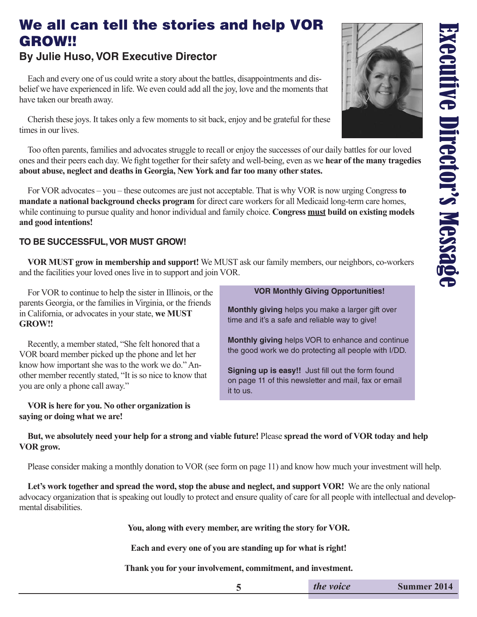# Executive Director's Message Executive Director's Message

#### We all can tell the stories and help VOR GROW!!

#### **By Julie Huso, VOR Executive Director**

 Each and every one of us could write a story about the battles, disappointments and disbelief we have experienced in life. We even could add all the joy, love and the moments that have taken our breath away.

 Cherish these joys. It takes only a few moments to sit back, enjoy and be grateful for these times in our lives.

 Too often parents, families and advocates struggle to recall or enjoy the successes of our daily battles for our loved ones and their peers each day. We fight together for their safety and well-being, even as we **hear of the many tragedies about abuse, neglect and deaths in Georgia, New York and far too many other states.** 

 For VOR advocates – you – these outcomes are just not acceptable. That is why VOR is now urging Congress **to mandate a national background checks program** for direct care workers for all Medicaid long-term care homes, while continuing to pursue quality and honor individual and family choice. **Congress <u>must</u> build on existing models and good intentions!**

#### **TO BE SUCCESSFUL, VOR MUST GROW!**

 **VOR MUST grow in membership and support!** We MUST ask our family members, our neighbors, co-workers and the facilities your loved ones live in to support and join VOR.

 For VOR to continue to help the sister in Illinois, or the parents Georgia, or the families in Virginia, or the friends in California, or advocates in your state, **we MUST GROW!!** 

 Recently, a member stated, "She felt honored that a VOR board member picked up the phone and let her know how important she was to the work we do." Another member recently stated, "It is so nice to know that you are only a phone call away."

 **VOR is here for you. No other organization is saying or doing what we are!**

#### **VOR Monthly Giving Opportunities!**

**Monthly giving** helps you make a larger gift over time and it's a safe and reliable way to give!

**Monthly giving** helps VOR to enhance and continue the good work we do protecting all people with I/DD.

**Signing up is easy!!** Just fill out the form found on page 11 of this newsletter and mail, fax or email it to us.

#### **But, we absolutely need your help for a strong and viable future!** Please **spread the word of VOR today and help VOR grow.**

Please consider making a monthly donation to VOR (see form on page 11) and know how much your investment will help.

Let's work together and spread the word, stop the abuse and neglect, and support VOR! We are the only national advocacy organization that is speaking out loudly to protect and ensure quality of care for all people with intellectual and developmental disabilities.

**You, along with every member, are writing the story for VOR.**

**Each and every one of you are standing up for what is right!** 

**Thank you for your involvement, commitment, and investment.**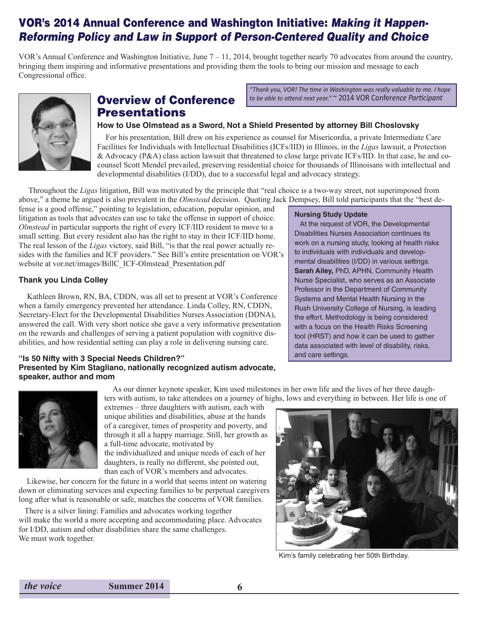#### VOR's 2014 Annual Conference and Washington Initiative: *Making it Happen-Reforming Policy and Law in Support of Person-Centered Quality and Choice*

VOR's Annual Conference and Washington Initiative, June 7 – 11, 2014, brought together nearly 70 advocates from around the country, bringing them inspiring and informative presentations and providing them the tools to bring our mission and message to each Congressional office.



#### Overview of Conference Presentations

*"Thank you, VOR! The time in Washington was really valuable to me. I hope to be able to attend next year."* ~ 2014 VOR Confer*ence Participant* 

#### **How to Use Olmstead as a Sword, Not a Shield Presented by attorney Bill Choslovsky**

 For his presentation, Bill drew on his experience as counsel for Misericordia, a private Intermediate Care Facilities for Individuals with Intellectual Disabilities (ICFs/IID) in Illinois, in the *Ligas* lawsuit, a Protection & Advocacy (P&A) class action lawsuit that threatened to close large private ICFs/IID. In that case, he and cocounsel Scott Mendel prevailed, preserving residential choice for thousands of Illinoisans with intellectual and developmental disabilities (I/DD), due to a successful legal and advocacy strategy.

 Throughout the *Ligas* litigation, Bill was motivated by the principle that "real choice is a two-way street, not superimposed from above," a theme he argued is also prevalent in the *Olmstead* decision. Quoting Jack Dempsey, Bill told participants that the "best de-

fense is a good offense," pointing to legislation, education, popular opinion, and litigation as tools that advocates can use to take the offense in support of choice. *Olmstead* in particular supports the right of every ICF/IID resident to move to a small setting. But every resident also has the right to stay in their ICF/IID home. The real lesson of the *Ligas* victory, said Bill, "is that the real power actually resides with the families and ICF providers." See Bill's entire presentation on VOR's website at vor.net/images/BillC\_ICF-Olmstead\_Presentation.pdf

#### **Thank you Linda Colley**

 Kathleen Brown, RN, BA, CDDN, was all set to present at VOR's Conference when a family emergency prevented her attendance. Linda Colley, RN, CDDN, Secretary-Elect for the Developmental Disabilities Nurses Association (DDNA), answered the call. With very short notice she gave a very informative presentation on the rewards and challenges of serving a patient population with cognitive disabilities, and how residential setting can play a role in delivering nursing care.

#### **"Is 50 Nifty with 3 Special Needs Children?" Presented by Kim Stagliano, nationally recognized autism advocate, speaker, author and mom**

#### **Nursing Study Update**

 At the request of VOR, the Developmental Disabilities Nurses Association continues its work on a nursing study, looking at health risks to individuals with individuals and developmental disabilities (I/DD) in various settings. **Sarah Ailey,** PhD, APHN, Community Health Nurse Specialist, who serves as an Associate Professor in the Department of Community Systems and Mental Health Nursing in the Rush University College of Nursing, is leading the effort. Methodology is being considered with a focus on the Health Risks Screening tool (HRST) and how it can be used to gather data associated with level of disability, risks, and care settings.



 As our dinner keynote speaker, Kim used milestones in her own life and the lives of her three daughters with autism, to take attendees on a journey of highs, lows and everything in between. Her life is one of

extremes – three daughters with autism, each with unique abilities and disabilities, abuse at the hands of a caregiver, times of prosperity and poverty, and through it all a happy marriage. Still, her growth as a full-time advocate, motivated by the individualized and unique needs of each of her daughters, is really no different, she pointed out, than each of VOR's members and advocates.

 Likewise, her concern for the future in a world that seems intent on watering down or eliminating services and expecting families to be perpetual caregivers long after what is reasonable or safe, matches the concerns of VOR families.

 There is a silver lining: Families and advocates working together will make the world a more accepting and accommodating place. Advocates for I/DD, autism and other disabilities share the same challenges. We must work together.



Kim's family celebrating her 50th Birthday.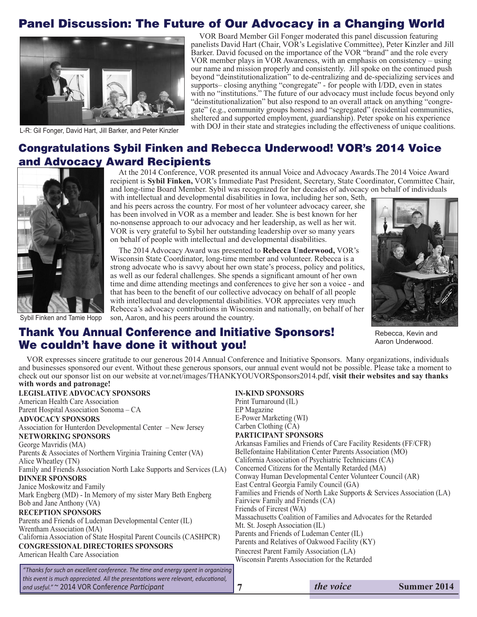#### Panel Discussion: The Future of Our Advocacy in a Changing World



L-R: Gil Fonger, David Hart, Jill Barker, and Peter Kinzler

 VOR Board Member Gil Fonger moderated this panel discussion featuring panelists David Hart (Chair, VOR's Legislative Committee), Peter Kinzler and Jill Barker. David focused on the importance of the VOR "brand" and the role every VOR member plays in VOR Awareness, with an emphasis on consistency – using our name and mission properly and consistently. Jill spoke on the continued push beyond "deinstitutionalization" to de-centralizing and de-specializing services and supports– closing anything "congregate" - for people with I/DD, even in states with no "institutions." The future of our advocacy must include focus beyond only "deinstitutionalization" but also respond to an overall attack on anything "congregate" (e.g., community groups homes) and "segregated" (residential communities, sheltered and supported employment, guardianship). Peter spoke on his experience with DOJ in their state and strategies including the effectiveness of unique coalitions.

#### Congratulations Sybil Finken and Rebecca Underwood! VOR's 2014 Voice and Advocacy Award Recipients



Sybil Finken and Tamie Hopp

At the 2014 Conference, VOR presented its annual Voice and Advocacy Awards.The 2014 Voice Award recipient is **Sybil Finken,** VOR's Immediate Past President, Secretary, State Coordinator, Committee Chair, and long-time Board Member. Sybil was recognized for her decades of advocacy on behalf of individuals

with intellectual and developmental disabilities in Iowa, including her son, Seth, and his peers across the country. For most of her volunteer advocacy career, she has been involved in VOR as a member and leader. She is best known for her no-nonsense approach to our advocacy and her leadership, as well as her wit. VOR is very grateful to Sybil her outstanding leadership over so many years on behalf of people with intellectual and developmental disabilities.

 The 2014 Advocacy Award was presented to **Rebecca Underwood,** VOR's Wisconsin State Coordinator, long-time member and volunteer. Rebecca is a strong advocate who is savvy about her own state's process, policy and politics, as well as our federal challenges. She spends a significant amount of her own time and dime attending meetings and conferences to give her son a voice - and that has been to the benefit of our collective advocacy on behalf of all people with intellectual and developmental disabilities. VOR appreciates very much Rebecca's advocacy contributions in Wisconsin and nationally, on behalf of her son, Aaron, and his peers around the country.



Rebecca, Kevin and Aaron Underwood.

#### Thank You Annual Conference and Initiative Sponsors! We couldn't have done it without you!

 VOR expresses sincere gratitude to our generous 2014 Annual Conference and Initiative Sponsors. Many organizations, individuals and businesses sponsored our event. Without these generous sponsors, our annual event would not be possible. Please take a moment to check out our sponsor list on our website at vor.net/images/THANKYOUVORSponsors2014.pdf, **visit their websites and say thanks with words and patronage!**

| <b>LEGISLATIVE ADVOCACY SPONSORS</b>                                                                                                                                                                                                                                                                                                                                                                                                                                                                                                                          | <b>IN-KIND SPONSORS</b>                                                                                                                                                                                                                                                                                                                                                                                                                                                                                                                                                                                                                                                                                                                                                                                                                                                                   |           |                    |  |  |
|---------------------------------------------------------------------------------------------------------------------------------------------------------------------------------------------------------------------------------------------------------------------------------------------------------------------------------------------------------------------------------------------------------------------------------------------------------------------------------------------------------------------------------------------------------------|-------------------------------------------------------------------------------------------------------------------------------------------------------------------------------------------------------------------------------------------------------------------------------------------------------------------------------------------------------------------------------------------------------------------------------------------------------------------------------------------------------------------------------------------------------------------------------------------------------------------------------------------------------------------------------------------------------------------------------------------------------------------------------------------------------------------------------------------------------------------------------------------|-----------|--------------------|--|--|
| American Health Care Association                                                                                                                                                                                                                                                                                                                                                                                                                                                                                                                              | Print Turnaround (IL)                                                                                                                                                                                                                                                                                                                                                                                                                                                                                                                                                                                                                                                                                                                                                                                                                                                                     |           |                    |  |  |
| Parent Hospital Association Sonoma – CA                                                                                                                                                                                                                                                                                                                                                                                                                                                                                                                       | EP Magazine                                                                                                                                                                                                                                                                                                                                                                                                                                                                                                                                                                                                                                                                                                                                                                                                                                                                               |           |                    |  |  |
| <b>ADVOCACY SPONSORS</b><br>Association for Hunterdon Developmental Center – New Jersey<br><b>NETWORKING SPONSORS</b><br>George Mavridis (MA)<br>Parents & Associates of Northern Virginia Training Center (VA)<br>Alice Wheatley (TN)<br>Family and Friends Association North Lake Supports and Services (LA)<br><b>DINNER SPONSORS</b><br>Janice Moskowitz and Family<br>Mark Engberg (MD) - In Memory of my sister Mary Beth Engberg<br>Bob and Jane Anthony (VA)<br><b>RECEPTION SPONSORS</b><br>Parents and Friends of Ludeman Developmental Center (IL) | E-Power Marketing (WI)<br>Carben Clothing (CA)<br><b>PARTICIPANT SPONSORS</b><br>Arkansas Families and Friends of Care Facility Residents (FF/CFR)<br>Bellefontaine Habilitation Center Parents Association (MO)<br>California Association of Psychiatric Technicians (CA)<br>Concerned Citizens for the Mentally Retarded (MA)<br>Conway Human Developmental Center Volunteer Council (AR)<br>East Central Georgia Family Council (GA)<br>Families and Friends of North Lake Supports & Services Association (LA)<br>Fairview Family and Friends (CA)<br>Friends of Fircrest (WA)<br>Massachusetts Coalition of Families and Advocates for the Retarded<br>Mt. St. Joseph Association (IL)<br>Parents and Friends of Ludeman Center (IL)<br>Parents and Relatives of Oakwood Facility (KY)<br>Pinecrest Parent Family Association (LA)<br>Wisconsin Parents Association for the Retarded |           |                    |  |  |
| Wrentham Association (MA)<br>California Association of State Hospital Parent Councils (CASHPCR)<br><b>CONGRESSIONAL DIRECTORIES SPONSORS</b><br>American Health Care Association                                                                                                                                                                                                                                                                                                                                                                              |                                                                                                                                                                                                                                                                                                                                                                                                                                                                                                                                                                                                                                                                                                                                                                                                                                                                                           |           |                    |  |  |
| "Thanks for such an excellent conference. The time and energy spent in organizing<br>this event is much appreciated. All the presentations were relevant, educational,<br>  and useful." ~ 2014 VOR Conference Participant                                                                                                                                                                                                                                                                                                                                    |                                                                                                                                                                                                                                                                                                                                                                                                                                                                                                                                                                                                                                                                                                                                                                                                                                                                                           | the voice | <b>Summer 2014</b> |  |  |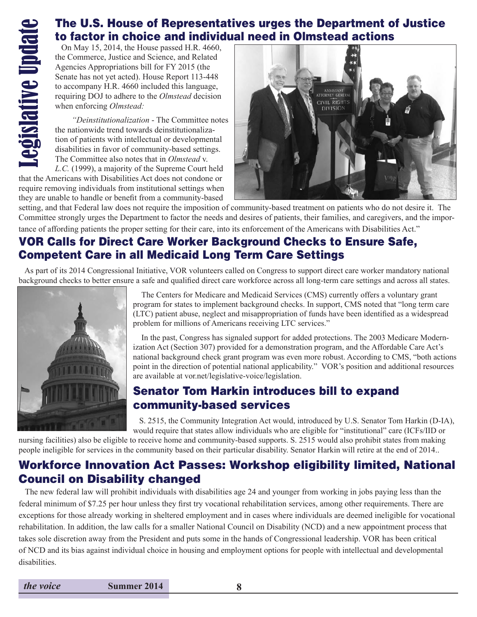#### The U.S. House of Representatives urges the Department of Justice to factor in choice and individual need in Olmstead actions

 On May 15, 2014, the House passed H.R. 4660, the Commerce, Justice and Science, and Related Agencies Appropriations bill for FY 2015 (the Senate has not yet acted). House Report 113-448 to accompany H.R. 4660 included this language, requiring DOJ to adhere to the *Olmstead* decision when enforcing *Olmstead:*

 *"Deinstitutionalization* - The Committee notes the nationwide trend towards deinstitutionalization of patients with intellectual or developmental disabilities in favor of community-based settings. The Committee also notes that in *Olmstead* v.

*L.C.* (1999), a majority of the Supreme Court held that the Americans with Disabilities Act does not condone or require removing individuals from institutional settings when they are unable to handle or benefit from a community-based



setting, and that Federal law does not require the imposition of community-based treatment on patients who do not desire it. The Committee strongly urges the Department to factor the needs and desires of patients, their families, and caregivers, and the importance of affording patients the proper setting for their care, into its enforcement of the Americans with Disabilities Act."

#### VOR Calls for Direct Care Worker Background Checks to Ensure Safe, Competent Care in all Medicaid Long Term Care Settings

 As part of its 2014 Congressional Initiative, VOR volunteers called on Congress to support direct care worker mandatory national background checks to better ensure a safe and qualified direct care workforce across all long-term care settings and across all states.



 The Centers for Medicare and Medicaid Services (CMS) currently offers a voluntary grant program for states to implement background checks. In support, CMS noted that "long term care (LTC) patient abuse, neglect and misappropriation of funds have been identified as a widespread problem for millions of Americans receiving LTC services."

 In the past, Congress has signaled support for added protections. The 2003 Medicare Modernization Act (Section 307) provided for a demonstration program, and the Affordable Care Act's national background check grant program was even more robust. According to CMS, "both actions point in the direction of potential national applicability." VOR's position and additional resources are available at vor.net/legislative-voice/legislation.

#### Senator Tom Harkin introduces bill to expand community-based services

 S. 2515, the Community Integration Act would, introduced by U.S. Senator Tom Harkin (D-IA), would require that states allow individuals who are eligible for "institutional" care (ICFs/IID or

nursing facilities) also be eligible to receive home and community-based supports. S. 2515 would also prohibit states from making people ineligible for services in the community based on their particular disability. Senator Harkin will retire at the end of 2014..

#### Workforce Innovation Act Passes: Workshop eligibility limited, National Council on Disability changed

 The new federal law will prohibit individuals with disabilities age 24 and younger from working in jobs paying less than the federal minimum of \$7.25 per hour unless they first try vocational rehabilitation services, among other requirements. There are exceptions for those already working in sheltered employment and in cases where individuals are deemed ineligible for vocational rehabilitation. In addition, the law calls for a smaller National Council on Disability (NCD) and a new appointment process that takes sole discretion away from the President and puts some in the hands of Congressional leadership. VOR has been critical of NCD and its bias against individual choice in housing and employment options for people with intellectual and developmental disabilities.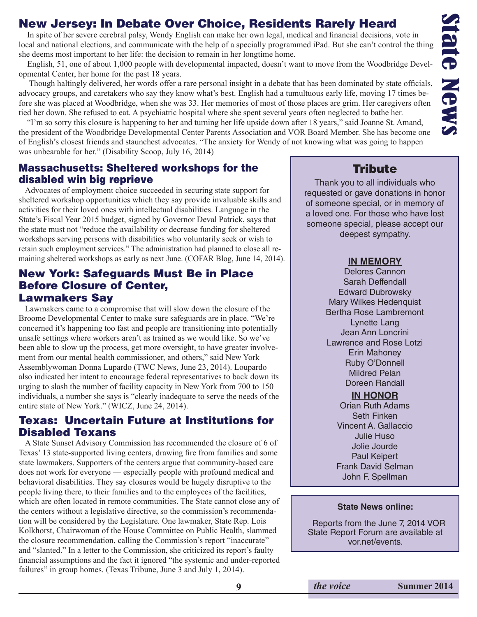## State News iate New:

#### New Jersey: In Debate Over Choice, Residents Rarely Heard

 In spite of her severe cerebral palsy, Wendy English can make her own legal, medical and financial decisions, vote in local and national elections, and communicate with the help of a specially programmed iPad. But she can't control the thing she deems most important to her life: the decision to remain in her longtime home.

 English, 51, one of about 1,000 people with developmental impacted, doesn't want to move from the Woodbridge Developmental Center, her home for the past 18 years.

 Though haltingly delivered, her words offer a rare personal insight in a debate that has been dominated by state officials, advocacy groups, and caretakers who say they know what's best. English had a tumultuous early life, moving 17 times before she was placed at Woodbridge, when she was 33. Her memories of most of those places are grim. Her caregivers often tied her down. She refused to eat. A psychiatric hospital where she spent several years often neglected to bathe her.

 "I'm so sorry this closure is happening to her and turning her life upside down after 18 years," said Joanne St. Amand, the president of the Woodbridge Developmental Center Parents Association and VOR Board Member. She has become one of English's closest friends and staunchest advocates. "The anxiety for Wendy of not knowing what was going to happen was unbearable for her." (Disability Scoop, July 16, 2014)

#### Massachusetts: Sheltered workshops for the disabled win big reprieve

 Advocates of employment choice succeeded in securing state support for sheltered workshop opportunities which they say provide invaluable skills and activities for their loved ones with intellectual disabilities. Language in the State's Fiscal Year 2015 budget, signed by Governor Deval Patrick, says that the state must not "reduce the availability or decrease funding for sheltered workshops serving persons with disabilities who voluntarily seek or wish to retain such employment services." The administration had planned to close all remaining sheltered workshops as early as next June. (COFAR Blog, June 14, 2014).

#### New York: Safeguards Must Be in Place Before Closure of Center, Lawmakers Say

 Lawmakers came to a compromise that will slow down the closure of the Broome Developmental Center to make sure safeguards are in place. "We're concerned it's happening too fast and people are transitioning into potentially unsafe settings where workers aren't as trained as we would like. So we've been able to slow up the process, get more oversight, to have greater involvement from our mental health commissioner, and others," said New York Assemblywoman Donna Lupardo (TWC News, June 23, 2014). Loupardo also indicated her intent to encourage federal representatives to back down its urging to slash the number of facility capacity in New York from 700 to 150 individuals, a number she says is "clearly inadequate to serve the needs of the entire state of New York." (WICZ, June 24, 2014).

#### Texas: Uncertain Future at Institutions for Disabled Texans

 A State Sunset Advisory Commission has recommended the closure of 6 of Texas' 13 state-supported living centers, drawing fire from families and some state lawmakers. Supporters of the centers argue that community-based care does not work for everyone — especially people with profound medical and behavioral disabilities. They say closures would be hugely disruptive to the people living there, to their families and to the employees of the facilities, which are often located in remote communities. The State cannot close any of the centers without a legislative directive, so the commission's recommendation will be considered by the Legislature. One lawmaker, State Rep. Lois Kolkhorst, Chairwoman of the House Committee on Public Health, slammed the closure recommendation, calling the Commission's report "inaccurate" and "slanted." In a letter to the Commission, she criticized its report's faulty financial assumptions and the fact it ignored "the systemic and under-reported failures" in group homes. (Texas Tribune, June 3 and July 1, 2014).

#### **Tribute**

Thank you to all individuals who requested or gave donations in honor of someone special, or in memory of a loved one. For those who have lost someone special, please accept our deepest sympathy.

#### **IN MEMORY**

Delores Cannon Sarah Deffendall Edward Dubrowsky Mary Wilkes Hedenquist Bertha Rose Lambremont Lynette Lang Jean Ann Loncrini Lawrence and Rose Lotzi Erin Mahoney Ruby O'Donnell Mildred Pelan Doreen Randall

#### **IN HONOR**

Orian Ruth Adams Seth Finken Vincent A. Gallaccio Julie Huso Jolie Jourde Paul Keipert Frank David Selman John F. Spellman

#### **State News online:**

Reports from the June 7, 2014 VOR State Report Forum are available at vor.net/events.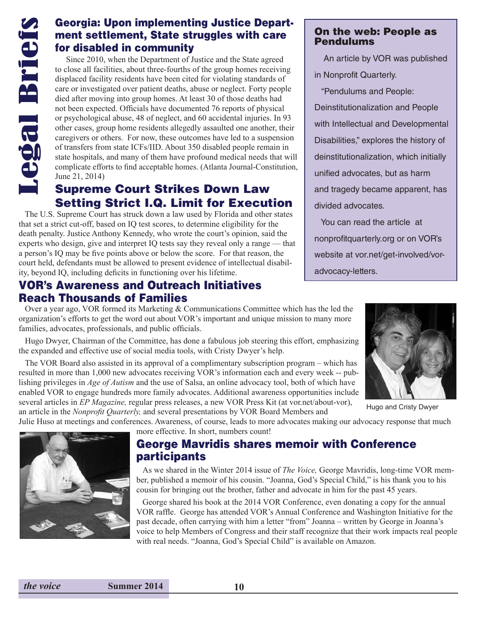#### Georgia: Upon implementing Justice Department settlement, State struggles with care for disabled in community

 Since 2010, when the Department of Justice and the State agreed to close all facilities, about three-fourths of the group homes receiving displaced facility residents have been cited for violating standards of care or investigated over patient deaths, abuse or neglect. Forty people died after moving into group homes. At least 30 of those deaths had not been expected. Officials have documented 76 reports of physical or psychological abuse, 48 of neglect, and 60 accidental injuries. In 93 other cases, group home residents allegedly assaulted one another, their caregivers or others. For now, these outcomes have led to a suspension of transfers from state ICFs/IID. About 350 disabled people remain in state hospitals, and many of them have profound medical needs that will complicate efforts to find acceptable homes. (Atlanta Journal-Constitution, June 21, 2014)

#### Supreme Court Strikes Down Law Setting Strict I.Q. Limit for Execution

 The U.S. Supreme Court has struck down a law used by Florida and other states that set a strict cut-off, based on IQ test scores, to determine eligibility for the death penalty. Justice Anthony Kennedy, who wrote the court's opinion, said the experts who design, give and interpret IQ tests say they reveal only a range — that a person's IQ may be five points above or below the score. For that reason, the court held, defendants must be allowed to present evidence of intellectual disability, beyond IQ, including deficits in functioning over his lifetime.

#### VOR's Awareness and Outreach Initiatives Reach Thousands of Families

 Over a year ago, VOR formed its Marketing & Communications Committee which has the led the organization's efforts to get the word out about VOR's important and unique mission to many more families, advocates, professionals, and public officials.

 Hugo Dwyer, Chairman of the Committee, has done a fabulous job steering this effort, emphasizing the expanded and effective use of social media tools, with Cristy Dwyer's help.

 The VOR Board also assisted in its approval of a complimentary subscription program – which has resulted in more than 1,000 new advocates receiving VOR's information each and every week -- publishing privileges in *Age of Autism* and the use of Salsa, an online advocacy tool, both of which have enabled VOR to engage hundreds more family advocates. Additional awareness opportunities include several articles in *EP Magazine,* regular press releases, a new VOR Press Kit (at vor.net/about-vor), an article in the *Nonprofit Quarterly,* and several presentations by VOR Board Members and

Julie Huso at meetings and conferences. Awareness, of course, leads to more advocates making our advocacy response that much more effective. In short, numbers count!

#### George Mavridis shares memoir with Conference participants

 As we shared in the Winter 2014 issue of *The Voice,* George Mavridis, long-time VOR member, published a memoir of his cousin. "Joanna, God's Special Child," is his thank you to his cousin for bringing out the brother, father and advocate in him for the past 45 years.

 George shared his book at the 2014 VOR Conference, even donating a copy for the annual VOR raffle. George has attended VOR's Annual Conference and Washington Initiative for the past decade, often carrying with him a letter "from" Joanna – written by George in Joanna's voice to help Members of Congress and their staff recognize that their work impacts real people with real needs. "Joanna, God's Special Child" is available on Amazon.



On the web: People as

An article by VOR was published

Pendulums

in Nonprofit Quarterly.

"Pendulums and People:

Deinstitutionalization and People

with Intellectual and Developmental

Disabilities," explores the history of

deinstitutionalization, which initially

and tragedy became apparent, has

unified advocates, but as harm

You can read the article at

nonprofitquarterly.org or on VOR's

website at vor.net/get-involved/vor-

divided advocates.

advocacy-letters.

Hugo and Cristy Dwyer

*the voice* **Summer 2014 10**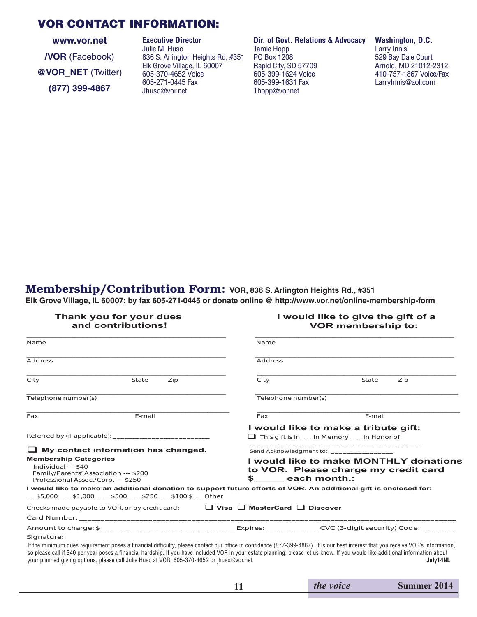#### VOR CONTACT INFORMATION:

**www.vor.net /VOR** (Facebook) **@VOR\_NET** (Twitter) **(877) 399-4867**

Julie M. Huso Tamie Hopp<br>836 S. Arlington Heights Rd, #351 PO Box 1208 836 S. Arlington Heights Rd, #351 PO Box 1208 57709 529 Bay Dale Court<br>Elk Grove Village. IL 60007 Bapid City. SD 57709 57709 Arnold. MD 21012-2312 **Elk Grove Village, IL 60007** Rapid City, SD 57709<br>605-370-4652 Voice 605-399-1624 Voice 605-370-4652 Voice 605-399-1624 Voice 410-757-1867 Voice/Fax 605-271-0445 Fax 605-399-1631 Fax LarryInnis@aol.com

**The Executive Director Cover Lie Free Executive Director Cover Coversion Dir. of Govt. Relations & Advocacy Washington, D.C.**<br>Julie M. Huso Larry Innis Thopp@vor.net

#### Membership/Contribution Form: **VOR, 836 S. Arlington Heights Rd., #351**

**Elk Grove Village, IL 60007; by fax 605-271-0445 or donate online @ http://www.vor.net/online-membership-form**

#### **Thank you for your dues I would like to give the gift of a VOR membership to:**

| Name                                                                                                                                       |                                                                                                                                                                                                                                |     | Name                |                                                                                                                                                                                                                                                                                                                                                                       |          |  |  |
|--------------------------------------------------------------------------------------------------------------------------------------------|--------------------------------------------------------------------------------------------------------------------------------------------------------------------------------------------------------------------------------|-----|---------------------|-----------------------------------------------------------------------------------------------------------------------------------------------------------------------------------------------------------------------------------------------------------------------------------------------------------------------------------------------------------------------|----------|--|--|
| <b>Address</b>                                                                                                                             |                                                                                                                                                                                                                                |     | <b>Address</b>      |                                                                                                                                                                                                                                                                                                                                                                       |          |  |  |
| City                                                                                                                                       | State                                                                                                                                                                                                                          | Zip | City                | State                                                                                                                                                                                                                                                                                                                                                                 | Zip      |  |  |
| Telephone number(s)                                                                                                                        |                                                                                                                                                                                                                                |     | Telephone number(s) |                                                                                                                                                                                                                                                                                                                                                                       |          |  |  |
| Fax                                                                                                                                        | E-mail                                                                                                                                                                                                                         |     | Fax                 | E-mail                                                                                                                                                                                                                                                                                                                                                                |          |  |  |
| $\Box$ My contact information has changed.<br><b>Membership Categories</b><br>Individual --- \$40<br>Family/Parents' Association --- \$200 |                                                                                                                                                                                                                                |     |                     | I would like to make a tribute gift:<br>$\Box$ This gift is in In Memory In Honor of:<br>I would like to make MONTHLY donations<br>to VOR. Please charge my credit card<br>\$ each month.:                                                                                                                                                                            |          |  |  |
| Professional Assoc./Corp. --- \$250                                                                                                        | __\$5,000 ___\$1,000 ___\$500 ___\$250 __\$100 \$ __Other                                                                                                                                                                      |     |                     | I would like to make an additional donation to support future efforts of VOR. An additional gift is enclosed for:                                                                                                                                                                                                                                                     |          |  |  |
|                                                                                                                                            | Checks made payable to VOR, or by credit card: $\Box$ Visa $\Box$ MasterCard $\Box$ Discover                                                                                                                                   |     |                     |                                                                                                                                                                                                                                                                                                                                                                       |          |  |  |
|                                                                                                                                            |                                                                                                                                                                                                                                |     |                     |                                                                                                                                                                                                                                                                                                                                                                       |          |  |  |
| your planned giving options, please call Julie Huso at VOR, 605-370-4652 or jhuso@vor.net.                                                 | Signature: the contract of the contract of the contract of the contract of the contract of the contract of the contract of the contract of the contract of the contract of the contract of the contract of the contract of the |     |                     | If the minimum dues requirement poses a financial difficulty, please contact our office in confidence (877-399-4867). If is our best interest that you receive VOR's information,<br>so please call if \$40 per year poses a financial hardship. If you have included VOR in your estate planning, please let us know. If you would like additional information about | July14NL |  |  |

|  | the voice |  |  |  |
|--|-----------|--|--|--|
|  |           |  |  |  |